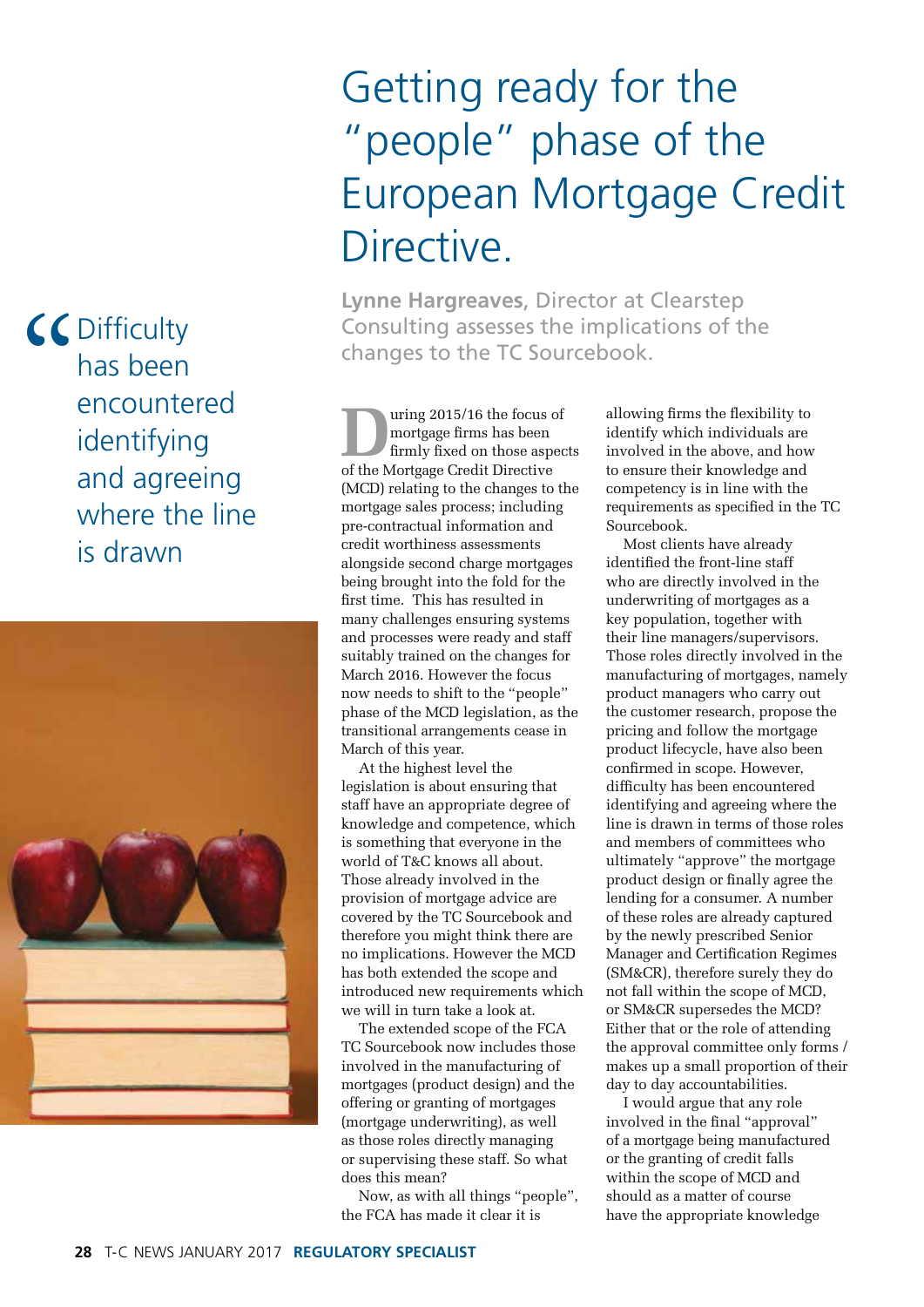## Getting ready for the "people" phase of the European Mortgage Credit Directive.

**Lynne Hargreaves**, Director at Clearstep Consulting assesses the implications of the changes to the TC Sourcebook.

**During 2015/16 the focus of mortgage firms has been firmly fixed on those aspector of the Mortgage Credit Directive** mortgage firms has been firmly fixed on those aspects (MCD) relating to the changes to the mortgage sales process; including pre-contractual information and credit worthiness assessments alongside second charge mortgages being brought into the fold for the first time. This has resulted in many challenges ensuring systems and processes were ready and staff suitably trained on the changes for March 2016. However the focus now needs to shift to the "people" phase of the MCD legislation, as the transitional arrangements cease in March of this year.

At the highest level the legislation is about ensuring that staff have an appropriate degree of knowledge and competence, which is something that everyone in the world of T&C knows all about. Those already involved in the provision of mortgage advice are covered by the TC Sourcebook and therefore you might think there are no implications. However the MCD has both extended the scope and introduced new requirements which we will in turn take a look at.

The extended scope of the FCA TC Sourcebook now includes those involved in the manufacturing of mortgages (product design) and the offering or granting of mortgages (mortgage underwriting), as well as those roles directly managing or supervising these staff. So what does this mean?

Now, as with all things "people", the FCA has made it clear it is

allowing firms the flexibility to identify which individuals are involved in the above, and how to ensure their knowledge and competency is in line with the requirements as specified in the TC Sourcebook.

Most clients have already identified the front-line staff who are directly involved in the underwriting of mortgages as a key population, together with their line managers/supervisors. Those roles directly involved in the manufacturing of mortgages, namely product managers who carry out the customer research, propose the pricing and follow the mortgage product lifecycle, have also been confirmed in scope. However, difficulty has been encountered identifying and agreeing where the line is drawn in terms of those roles and members of committees who ultimately "approve" the mortgage product design or finally agree the lending for a consumer. A number of these roles are already captured by the newly prescribed Senior Manager and Certification Regimes (SM&CR), therefore surely they do not fall within the scope of MCD, or SM&CR supersedes the MCD? Either that or the role of attending the approval committee only forms / makes up a small proportion of their day to day accountabilities.

I would argue that any role involved in the final "approval" of a mortgage being manufactured or the granting of credit falls within the scope of MCD and should as a matter of course have the appropriate knowledge

CC Dif-<br>
has<br>
enc<br>
ide **Difficulty** has been encountered identifying and agreeing where the line is drawn